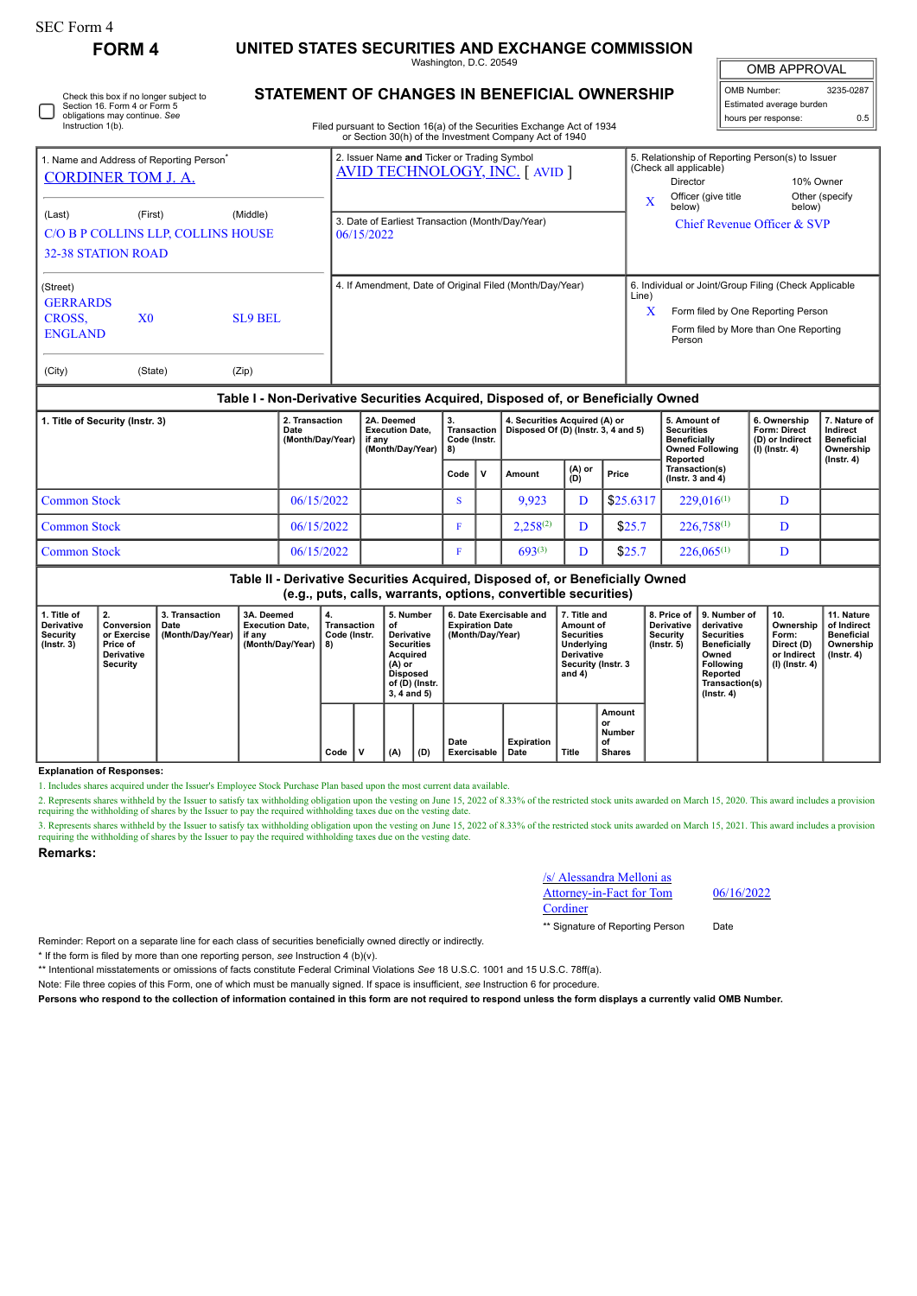# **FORM 4 UNITED STATES SECURITIES AND EXCHANGE COMMISSION**

Washington, D.C. 20549

OMB APPROVAL

| OMB Number:              | 3235-0287 |  |  |  |  |  |  |  |
|--------------------------|-----------|--|--|--|--|--|--|--|
| Estimated average burden |           |  |  |  |  |  |  |  |
| hours per response:      | 0.5       |  |  |  |  |  |  |  |

| 0 | Check this box if no longer subject to<br>Section 16. Form 4 or Form 5<br>obligations may continue. See<br>Instruction 1(b). |
|---|------------------------------------------------------------------------------------------------------------------------------|
|---|------------------------------------------------------------------------------------------------------------------------------|

### **STATEMENT OF CHANGES IN BENEFICIAL OWNERSHIP**

Filed pursuant to Section 16(a) of the Securities Exchange Act of 1934 or Section 30(h) of the Investment Company Act of 1940

| <b>CORDINER TOM J. A.</b>                                                                        | . Name and Address of Reporting Person <sup>®</sup> |                  |                                    | 2. Issuer Name and Ticker or Trading Symbol<br><b>AVID TECHNOLOGY, INC.</b> [ AVID ]                                                                                                         |      |   |        |               |                                                                                                                      | 5. Relationship of Reporting Person(s) to Issuer<br>(Check all applicable)<br>Director                                                         | 10% Owner                                                           |                                                                                |  |
|--------------------------------------------------------------------------------------------------|-----------------------------------------------------|------------------|------------------------------------|----------------------------------------------------------------------------------------------------------------------------------------------------------------------------------------------|------|---|--------|---------------|----------------------------------------------------------------------------------------------------------------------|------------------------------------------------------------------------------------------------------------------------------------------------|---------------------------------------------------------------------|--------------------------------------------------------------------------------|--|
| (Middle)<br>(Last)<br>(First)<br>C/O B P COLLINS LLP, COLLINS HOUSE<br><b>32-38 STATION ROAD</b> |                                                     |                  |                                    | 3. Date of Earliest Transaction (Month/Day/Year)<br>06/15/2022                                                                                                                               |      |   |        |               | Officer (give title<br>Other (specify)<br>$\overline{\mathbf{X}}$<br>below)<br>below)<br>Chief Revenue Officer & SVP |                                                                                                                                                |                                                                     |                                                                                |  |
| (Street)<br><b>GERRARDS</b><br>CROSS.<br><b>ENGLAND</b><br>(City)                                | X <sub>0</sub><br>(State)                           | SL9 BEL<br>(Zip) |                                    | 4. If Amendment, Date of Original Filed (Month/Day/Year)                                                                                                                                     |      |   |        |               | Line)<br>X                                                                                                           | 6. Individual or Joint/Group Filing (Check Applicable<br>Form filed by One Reporting Person<br>Form filed by More than One Reporting<br>Person |                                                                     |                                                                                |  |
| Table I - Non-Derivative Securities Acquired, Disposed of, or Beneficially Owned                 |                                                     |                  |                                    |                                                                                                                                                                                              |      |   |        |               |                                                                                                                      |                                                                                                                                                |                                                                     |                                                                                |  |
| 1. Title of Security (Instr. 3)<br>Date                                                          |                                                     |                  | 2. Transaction<br>(Month/Day/Year) | 2A. Deemed<br>3.<br>4. Securities Acquired (A) or<br><b>Transaction</b><br>Disposed Of (D) (Instr. 3, 4 and 5)<br><b>Execution Date,</b><br>Code (Instr.<br>if any<br>(Month/Day/Year)<br>8) |      |   |        |               |                                                                                                                      | 5. Amount of<br><b>Securities</b><br><b>Beneficially</b><br><b>Owned Following</b><br>Reported                                                 | 6. Ownership<br>Form: Direct<br>(D) or Indirect<br>$(I)$ (Instr. 4) | 7. Nature of<br>Indirect<br><b>Beneficial</b><br>Ownership<br>$($ lnstr. 4 $)$ |  |
|                                                                                                  |                                                     |                  |                                    |                                                                                                                                                                                              | Code | ν | Amount | (A) or<br>(D) | Price                                                                                                                | Transaction(s)<br>$($ lnstr. $3$ and $4)$                                                                                                      |                                                                     |                                                                                |  |
| <b>Common Stock</b>                                                                              |                                                     |                  | 06/15/2022                         |                                                                                                                                                                                              | s    |   | 9,923  | D             | \$25.6317                                                                                                            | $229,016^{(1)}$                                                                                                                                | D                                                                   |                                                                                |  |

# Common Stock 06/15/2022 F 693(3) D \$25.7 226,065(1) D **Table II - Derivative Securities Acquired, Disposed of, or Beneficially Owned**

Common Stock 06/15/2022 F 2,258(2) D \$25.7 226,758(1) D

**(e.g., puts, calls, warrants, options, convertible securities)**

| 1. Title of<br>Derivative<br>Security<br>$($ Instr. 3 $)$ | 2.<br>Conversion<br>or Exercise<br>Price of<br><b>Derivative</b><br>Security | 3. Transaction<br>Date<br>(Month/Day/Year) | 3A. Deemed<br><b>Execution Date.</b><br>if any<br>(Month/Day/Year) | 4.<br>Transaction<br>Code (Instr.<br>8) |  | 5. Number<br>οf<br>Derivative<br><b>Securities</b><br>Acquired<br>(A) or<br><b>Disposed</b><br>of (D) (Instr.<br>$3, 4$ and $5)$ |     | 6. Date Exercisable and<br><b>Expiration Date</b><br>(Month/Day/Year) |                    | 7. Title and<br>Amount of<br>Securities<br>Underlying<br><b>Derivative</b><br>Security (Instr. 3<br>and $4)$ |                                               | 8. Price of<br><b>Derivative</b><br>Security<br>(Instr. 5) | 9. Number of<br>derivative<br>Securities<br><b>Beneficially</b><br>Owned<br>Following<br>Reported<br>Transaction(s)<br>(Instr. 4) | 10.<br>Ownership<br>Form:<br>Direct (D)<br>or Indirect<br>(I) (Instr. 4) | 11. Nature<br>of Indirect<br><b>Beneficial</b><br>Ownership<br>(Instr. 4) |
|-----------------------------------------------------------|------------------------------------------------------------------------------|--------------------------------------------|--------------------------------------------------------------------|-----------------------------------------|--|----------------------------------------------------------------------------------------------------------------------------------|-----|-----------------------------------------------------------------------|--------------------|--------------------------------------------------------------------------------------------------------------|-----------------------------------------------|------------------------------------------------------------|-----------------------------------------------------------------------------------------------------------------------------------|--------------------------------------------------------------------------|---------------------------------------------------------------------------|
|                                                           |                                                                              |                                            |                                                                    | Code                                    |  | (A)                                                                                                                              | (D) | Date<br>Exercisable                                                   | Expiration<br>Date | Title                                                                                                        | Amount<br>or<br>Number<br>оf<br><b>Shares</b> |                                                            |                                                                                                                                   |                                                                          |                                                                           |

#### **Explanation of Responses:**

1. Includes shares acquired under the Issuer's Employee Stock Purchase Plan based upon the most current data available.

2. Represents shares withheld by the Issuer to satisfy tax withholding obligation upon the vesting on June 15, 2022 of 8.33% of the restricted stock units awarded on March 15, 2020. This award includes a provision requirin

3. Represents shares withheld by the Issuer to satisfy tax withholding obligation upon the vesting on June 15, 2022 of 8.33% of the restricted stock units awarded on March 15, 2021. This award includes a provision requiring the withholding of shares by the Issuer to pay the required withholding taxes due on the vesting date.

#### **Remarks:**

/s/ Alessandra Melloni as Attorney-in-Fact for Tom **Cordiner** 

06/16/2022

\*\* Signature of Reporting Person Date

Reminder: Report on a separate line for each class of securities beneficially owned directly or indirectly.

\* If the form is filed by more than one reporting person, *see* Instruction 4 (b)(v).

\*\* Intentional misstatements or omissions of facts constitute Federal Criminal Violations *See* 18 U.S.C. 1001 and 15 U.S.C. 78ff(a).

Note: File three copies of this Form, one of which must be manually signed. If space is insufficient, *see* Instruction 6 for procedure.

**Persons who respond to the collection of information contained in this form are not required to respond unless the form displays a currently valid OMB Number.**